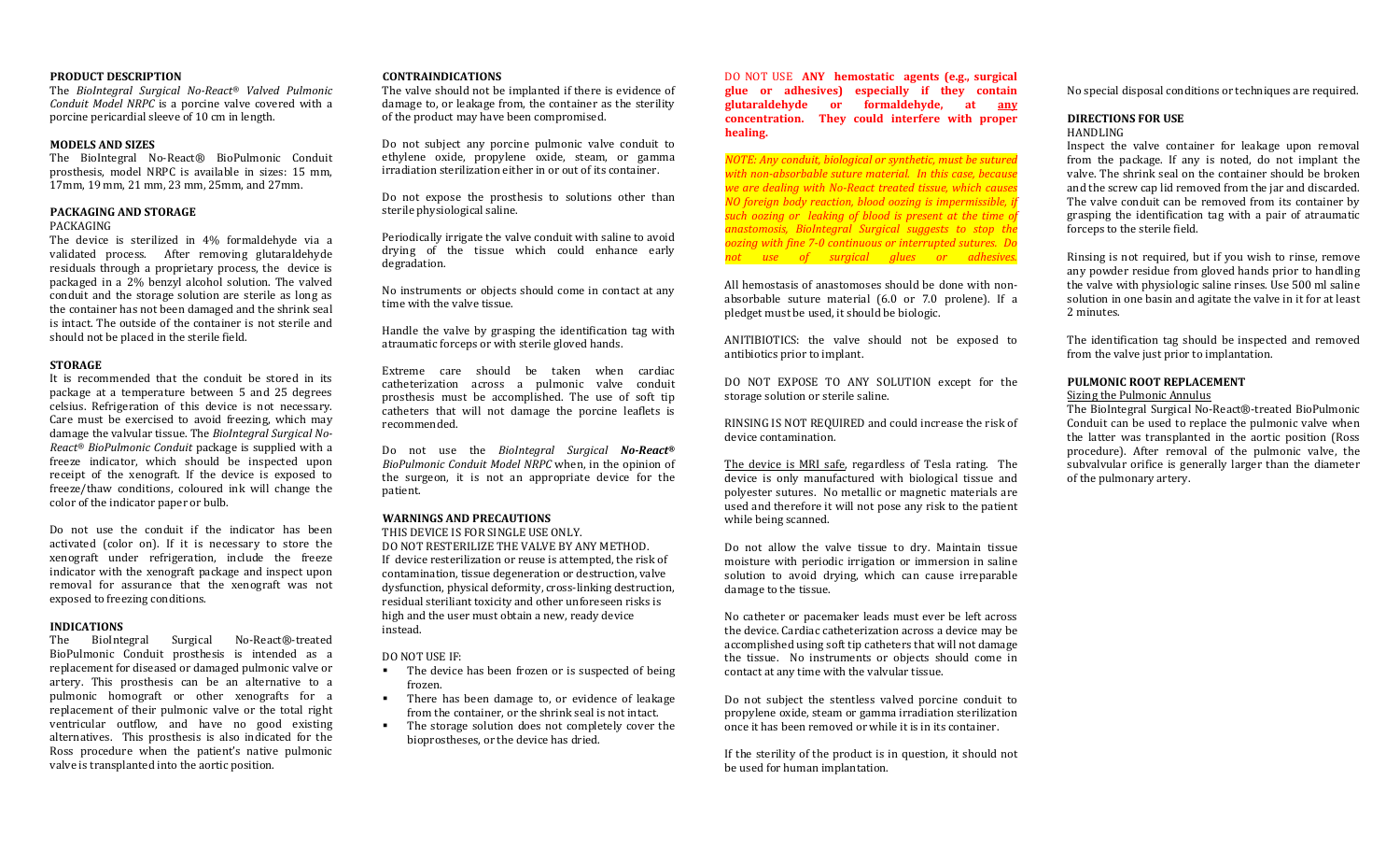#### **PRODUCT DESCRIPTION**

 The *BioIntegral Surgical No-React® Valved Pulmonic Conduit Model NRPC* is a porcine valve covered with a porcine pericardial sleeve of 10 cm in length.

#### **MODELS AND SIZES**

 The BioIntegral No-React® BioPulmonic Conduit prosthesis, model NRPC is available in sizes: 15 mm, 17mm, 19 mm, 21 mm, 23 mm, 25mm, and 27mm.

#### **PACKAGING AND STORAGE**

#### PACKAGING

 The device is sterilized in 4% formaldehyde via a validated process. After removing glutaraldehyde residuals through a proprietary process, the device is packaged in a 2% benzyl alcohol solution. The valved conduit and the storage solution are sterile as long as the container has not been damaged and the shrink seal is intact. The outside of the container is not sterile and should not be placed in the sterile field.

#### **STORAGE**

 It is recommended that the conduit be stored in its package at a temperature between 5 and 25 degrees celsius. Refrigeration of this device is not necessary. Care must be exercised to avoid freezing, which may damage the valvular tissue. The *BioIntegral Surgical No-React® BioPulmonic Conduit* package is supplied with a freeze indicator, which should be inspected upon receipt of the xenograft. If the device is exposed to freeze/thaw conditions, coloured ink will change the color of the indicator paper or bulb.

Do not use the conduit if the indicator has been activated (color on). If it is necessary to store the xenograft under refrigeration, include the freeze indicator with the xenograft package and inspect upon removal for assurance that the xenograft was not exposed to freezing conditions.

#### **INDICATIONS**

 The BioIntegral Surgical No-React®-treated BioPulmonic Conduit prosthesis is intended as a replacement for diseased or damaged pulmonic valve or artery. This prosthesis can be an alternative to a pulmonic homograft or other xenografts for a replacement of their pulmonic valve or the total right ventricular outflow, and have no good existing alternatives. This prosthesis is also indicated for the Ross procedure when the patient's native pulmonic valve is transplanted into the aortic position.

#### **CONTRAINDICATIONS**

 The valve should not be implanted if there is evidence of damage to, or leakage from, the container as the sterility of the product may have been compromised.

Do not subject any porcine pulmonic valve conduit to ethylene oxide, propylene oxide, steam, or gamma irradiation sterilization either in or out of its container.

Do not expose the prosthesis to solutions other than sterile physiological saline.

Periodically irrigate the valve conduit with saline to avoid drying of the tissue which could enhance early degradation.

No instruments or objects should come in contact at any time with the valve tissue.

Handle the valve by grasping the identification tag with atraumatic forceps or with sterile gloved hands.

Extreme care should be taken when cardiac catheterization across a pulmonic valve conduit prosthesis must be accomplished. The use of soft tip catheters that will not damage the porcine leaflets is recommended.

Do not use the *BioIntegral Surgical No-React® BioPulmonic Conduit Model NRPC* when, in the opinion of the surgeon, it is not an appropriate device for the patient.

### **WARNINGS AND PRECAUTIONS**

 THIS DEVICE IS FOR SINGLE USE ONLY. DO NOT RESTERILIZE THE VALVE BY ANY METHOD. If device resterilization or reuse is attempted, the risk of contamination, tissue degeneration or destruction, valve dysfunction, physical deformity, cross-linking destruction, residual steriliant toxicity and other unforeseen risks is high and the user must obtain a new, ready device instead.

DO NOT USE IF:

- The device has been frozen or is suspected of beingfrozen.
- There has been damage to, or evidence of leakage  $\mathbf{r}$ from the container, or the shrink seal is not intact.
- The storage solution does not completely cover the  $\blacksquare$ bioprostheses, or the device has dried.

DO NOT USE **ANY hemostatic agents (e.g., surgical glue or adhesives) especially if they contain glutaraldehyde or formaldehyde, at any concentration. They could interfere with proper healing.** 

*NOTE: Any conduit, biological or synthetic, must be sutured with non-absorbable suture material. In this case, because we are dealing with No-React treated tissue, which causes NO foreign body reaction, blood oozing is impermissible, if such oozing or leaking of blood is present at the time of anastomosis, BioIntegral Surgical suggests to stop the oozing with fine 7-0 continuous or interrupted sutures. Do not use of surgical glues or adhesives.*

All hemostasis of anastomoses should be done with nonabsorbable suture material (6.0 or 7.0 prolene). If a pledget must be used, it should be biologic.

ANITIBIOTICS: the valve should not be exposed to antibiotics prior to implant.

DO NOT EXPOSE TO ANY SOLUTION except for the storage solution or sterile saline.

RINSING IS NOT REQUIRED and could increase the risk of device contamination.

The device is MRI safe, regardless of Tesla rating. The device is only manufactured with biological tissue and polyester sutures. No metallic or magnetic materials are used and therefore it will not pose any risk to the patient while being scanned.

Do not allow the valve tissue to dry. Maintain tissue moisture with periodic irrigation or immersion in saline solution to avoid drying, which can cause irreparable damage to the tissue.

No catheter or pacemaker leads must ever be left across the device. Cardiac catheterization across a device may be accomplished using soft tip catheters that will not damage the tissue. No instruments or objects should come in contact at any time with the valvular tissue.

Do not subject the stentless valved porcine conduit to propylene oxide, steam or gamma irradiation sterilization once it has been removed or while it is in its container.

If the sterility of the product is in question, it should not be used for human implantation.

No special disposal conditions or techniques are required.

## **DIRECTIONS FOR USE**

HANDLING

 Inspect the valve container for leakage upon removal from the package. If any is noted, do not implant the valve. The shrink seal on the container should be broken and the screw cap lid removed from the jar and discarded. The valve conduit can be removed from its container by grasping the identification tag with a pair of atraumatic forceps to the sterile field.

Rinsing is not required, but if you wish to rinse, remove any powder residue from gloved hands prior to handling the valve with physiologic saline rinses. Use 500 ml saline solution in one basin and agitate the valve in it for at least 2 minutes.

The identification tag should be inspected and removed from the valve just prior to implantation.

#### **PULMONIC ROOT REPLACEMENT**

#### Sizing the Pulmonic Annulus

 The BioIntegral Surgical No-React®-treated BioPulmonic Conduit can be used to replace the pulmonic valve when the latter was transplanted in the aortic position (Ross procedure). After removal of the pulmonic valve, the subvalvular orifice is generally larger than the diameter of the pulmonary artery.